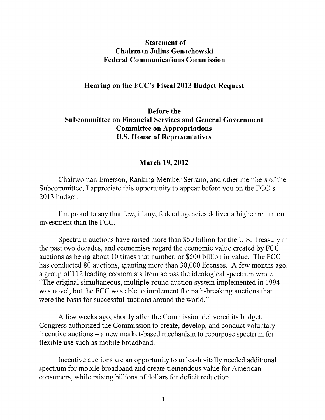## **Statement of Chairman Julius Genachowski Federal Communications Commission**

## **Hearing on the FCC's Fiscal 2013 Budget Request**

## **Before the Subcommittee on Financial Services and General Government Committee on Appropriations U.S. House of Representatives**

## **March 19, 2012**

Chairwoman Emerson, Ranking Member Serrano, and other members of the Subcommittee, I appreciate this opportunity to appear before you on the FCC's 2013 budget.

I'm proud to say that few, if any, federal agencies deliver a higher return on investment than the FCC.

Spectrum auctions have raised more than \$50 billion for the U.S. Treasury in the past two decades, and economists regard the economic value created by FCC auctions as being about 10 times that number, or \$500 billion in value. The FCC has conducted 80 auctions, granting more than 30,000 licenses. A few months ago, a group of 112 leading economists from across the ideological spectrum wrote, "The original simultaneous, multiple-round auction system implemented in 1994 was novel, but the FCC was able to implement the path-breaking auctions that were the basis for successful auctions around the world."

A few weeks ago, shortly after the Commission delivered its budget, Congress authorized the Commission to create, develop, and conduct voluntary incentive auctions - a new market-based mechanism to repurpose spectrum for flexible use such as mobile broadband.

Incentive auctions are an opportunity to unleash vitally needed additional spectrum for mobile broadband and create tremendous value for American consumers, while raising billions of dollars for deficit reduction.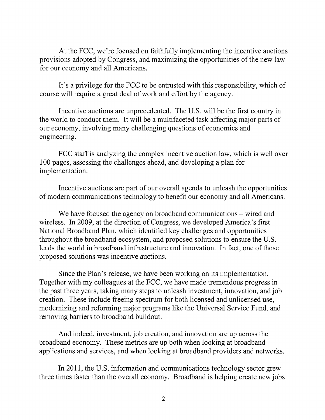At the FCC, we're focused on faithfully implementing the incentive auctions provisions adopted by Congress, and maximizing the opportunities of the new law for our economy and all Americans.

It's a privilege for the FCC to be entrusted with this responsibility, which of course will require a great deal of work and effort by the agency.

Incentive auctions are unprecedented. The U.S. will be the first country in the world to conduct them. It will be a multifaceted task affecting major parts of our economy, involving many challenging questions of economics and engineering.

FCC staff is analyzing the complex incentive auction law, which is well over 100 pages, assessing the challenges ahead, and developing a plan for implementation.

Incentive auctions are part of our overall agenda to unleash the opportunities of modem communications technology to benefit our economy and all Americans.

We have focused the agency on broadband communications – wired and wireless. In 2009, at the direction of Congress, we developed America's first National Broadband Plan, which identified key challenges and opportunities throughout the broadband ecosystem, and proposed solutions to ensure the U.S. leads the world in broadband infrastructure and innovation. In fact, one of those proposed solutions was incentive auctions.

Since the Plan's release, we have been working on its implementation. Together with my colleagues at the FCC, we have made tremendous progress in the past three years, taking many steps to unleash investment, innovation, and job creation. These include freeing spectrum for both licensed and unlicensed use, modernizing and reforming major programs like the Universal Service Fund, and removing barriers to broadband buildout.

And indeed, investment, job creation, and innovation are up across the broadband economy. These metrics are up both when looking at broadband applications and services, and when looking at broadband providers and networks.

In 2011, the U.S. information and communications technology sector grew three times faster than the overall economy. Broadband is helping create new jobs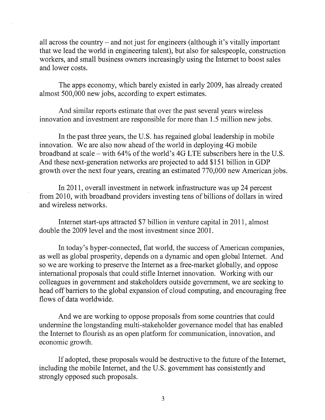all across the country - and not just for engineers (although it's vitally important that we lead the world in engineering talent), but also for salespeople, construction workers, and small business owners increasingly using the Internet to boost sales and lower costs.

The apps economy, which barely existed in early 2009, has already created almost 500,000 new jobs, according to expert estimates.

And similar reports estimate that over the past several years wireless innovation and investment are responsible for more than 1.5 million new jobs.

In the past three years, the U.S. has regained global leadership in mobile innovation. We are also now ahead of the world in deploying 4G mobile broadband at scale - with 64% of the world's 4G LTE subscribers here in the U.S. And these next-generation networks are projected to add \$151 billion in GDP growth over the next four years, creating an estimated 770,000 new American jobs.

In 2011, overall investment in network infrastructure was up 24 percent from 2010, with broadband providers investing tens of billions of dollars in wired and wireless networks.

Internet start-ups attracted \$7 billion in venture capital in 2011, almost double the 2009 level and the most investment since 2001.

In today's hyper-connected, flat world, the success of American companies, as well as global prosperity, depends on a dynamic and open global Internet. And so we are working to preserve the Internet as a free-market globally, and oppose international proposals that could stifle Internet innovation. Working with our colleagues in government and stakeholders outside government, we are seeking to head off barriers to the global expansion of cloud computing, and encouraging free flows of data worldwide.

And we are working to oppose proposals from some countries that could undermine the longstanding multi-stakeholder governance model that has enabled the Internet to flourish as an open platform for communication, innovation, and economic growth.

If adopted, these proposals would be destructive to the future of the Internet, including the mobile Internet, and the U.S. government has consistently and strongly opposed such proposals.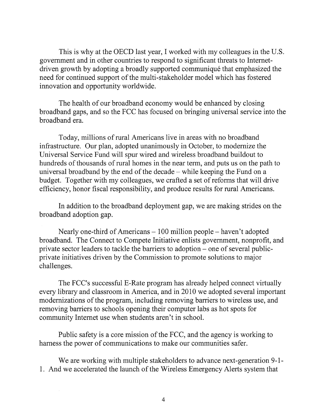This is why at the **OECD** last year, I worked with my colleagues in the U.S. government and in other countries to respond to significant threats to Internetdriven growth by adopting a broadly supported communiqué that emphasized the need for continued support of the multi-stakeholder model which has fostered innovation and opportunity worldwide.

The health of our broadband economy would be enhanced by closing broadband gaps, and so the FCC has focused on bringing universal service into the broadband era.

Today, millions of rural Americans live in areas with no broadband infrastructure. Our plan, adopted unanimously in October, to modernize the Universal Service Fund will spur wired and wireless broadband buildout to hundreds of thousands of rural homes in the near term, and puts us on the path to universal broadband by the end of the decade – while keeping the Fund on a budget. Together with my colleagues, we crafted a set of reforms that will drive efficiency, honor fiscal responsibility, and produce results for rural Americans.

In addition to the broadband deployment gap, we are making strides on the broadband adoption gap.

Nearly one-third of Americans – 100 million people – haven't adopted broadband. The Connect to Compete Initiative enlists government, nonprofit, and private sector leaders to tackle the barriers to adoption - one of several publicprivate initiatives driven by the Commission to promote solutions to major challenges.

The FCC's successful E-Rate program has already helped connect virtually every library and classroom in America, and in 2010 we adopted several important modernizations of the program, including removing barriers to wireless use, and removing barriers to schools opening their computer labs as hot spots for community Internet use when students aren't in school.

Public safety is a core mission of the FCC, and the agency is working to harness the power of communications to make our communities safer.

We are working with multiple stakeholders to advance next-generation 9-1-1. And we accelerated the launch of the Wireless Emergency Alerts system that

 $\hat{\boldsymbol{\gamma}}$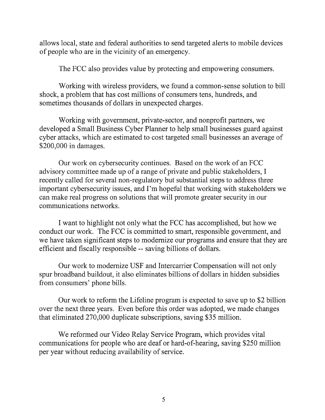allows local, state and federal authorities to send targeted alerts to mobile devices of people who are in the vicinity of an emergency.

The FCC also provides value by protecting and empowering consumers.

Working with wireless providers, we found a common-sense solution to bill shock, a problem that has cost millions of consumers tens, hundreds, and sometimes thousands of dollars in unexpected charges.

Working with government, private-sector, and nonprofit partners, we developed a Small Business Cyber Planner to help small businesses guard against cyber attacks, which are estimated to cost targeted small businesses an average of \$200,000 in damages.

Our work on cybersecurity continues. Based on the work of an FCC advisory committee made up of a range of private and public stakeholders, I recently called for several non-regulatory but substantial steps to address three important cybersecurity issues, and I'm hopeful that working with stakeholders we can make real progress on solutions that will promote greater security in our communications networks.

I want to highlight not only what the FCC has accomplished, but how we conduct our work. The FCC is committed to smart, responsible government, and we have taken significant steps to modernize our programs and ensure that they are efficient and fiscally responsible -- saving billions of dollars.

Our work to modernize USF and Intercarrier Compensation will not only spur broadband buildout, it also eliminates billions of dollars in hidden subsidies from consumers' phone bills.

Our work to reform the Lifeline program is expected to save up to \$2 billion over the next three years. Even before this order was adopted, we made changes that eliminated 270,000 duplicate subscriptions, saving \$35 million.

We reformed our Video Relay Service Program, which provides vital communications for people who are deaf or hard-of-hearing, saving \$250 million per year without reducing availability of service.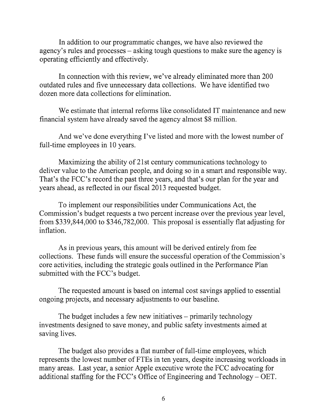In addition to our programmatic changes, we have also reviewed the agency's rules and processes - asking tough questions to make sure the agency is operating efficiently and effectively.

In connection with this review, we've already eliminated more than 200 outdated rules and five unnecessary data collections. We have identified two dozen more data collections for elimination.

We estimate that internal reforms like consolidated IT maintenance and new financial system have already saved the agency almost \$8 million.

And we've done everything I've listed and more with the lowest number of full-time employees in 10 years.

Maximizing the ability of 21st century communications technology to deliver value to the American people, and doing so in a smart and responsible way. That's the FCC's record the past three years, and that's our plan for the year and years ahead, as reflected in our fiscal 2013 requested budget.

To implement our responsibilities under Communications Act, the Commission's budget requests a two percent increase over the previous year level, from \$339,844,000 to \$346,782,000. This proposal is essentially flat adjusting for inflation.

As in previous years, this amount will be derived entirely from fee collections. These funds will ensure the successful operation of the Commission's core activities, including the strategic goals outlined in the Performance Plan submitted with the FCC's budget.

The requested amount is based on internal cost savings applied to essential ongoing projects, and necessary adjustments to our baseline.

The budget includes a few new initiatives – primarily technology investments designed to save money, and public safety investments aimed at saving lives.

The budget also provides a flat number of full-time employees, which represents the lowest number of FTEs in ten years, despite increasing workloads in many areas. Last year, a senior Apple executive wrote the FCC advocating for additional staffing for the FCC's Office of Engineering and Technology - OET.